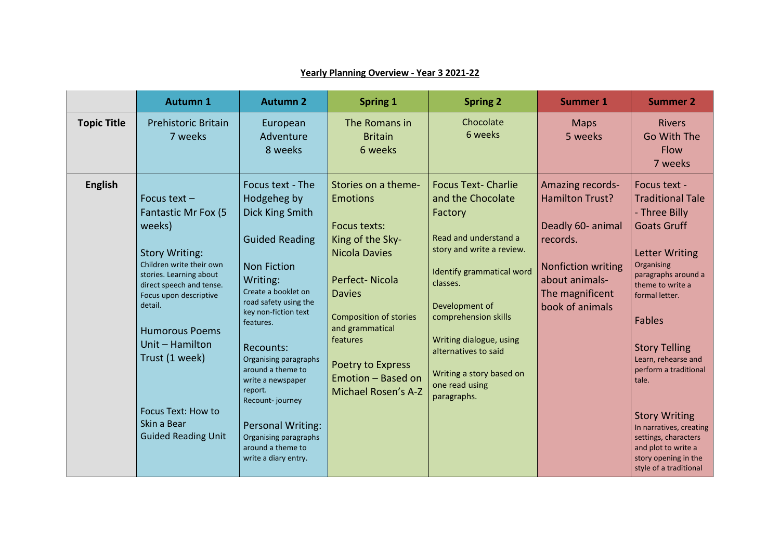|                    | <b>Autumn 1</b>                                                                                                                                                                                                                                                                                                                          | <b>Autumn 2</b>                                                                                                                                                                                                                                                                                                                                                                                                    | <b>Spring 1</b>                                                                                                                                                                                                                                                         | <b>Spring 2</b>                                                                                                                                                                                                                                                                                                     | <b>Summer 1</b>                                                                                                                                           | <b>Summer 2</b>                                                                                                                                                                                                                                                                                                                                                                                                                          |
|--------------------|------------------------------------------------------------------------------------------------------------------------------------------------------------------------------------------------------------------------------------------------------------------------------------------------------------------------------------------|--------------------------------------------------------------------------------------------------------------------------------------------------------------------------------------------------------------------------------------------------------------------------------------------------------------------------------------------------------------------------------------------------------------------|-------------------------------------------------------------------------------------------------------------------------------------------------------------------------------------------------------------------------------------------------------------------------|---------------------------------------------------------------------------------------------------------------------------------------------------------------------------------------------------------------------------------------------------------------------------------------------------------------------|-----------------------------------------------------------------------------------------------------------------------------------------------------------|------------------------------------------------------------------------------------------------------------------------------------------------------------------------------------------------------------------------------------------------------------------------------------------------------------------------------------------------------------------------------------------------------------------------------------------|
| <b>Topic Title</b> | <b>Prehistoric Britain</b><br>7 weeks                                                                                                                                                                                                                                                                                                    | European<br>Adventure<br>8 weeks                                                                                                                                                                                                                                                                                                                                                                                   | The Romans in<br><b>Britain</b><br>6 weeks                                                                                                                                                                                                                              | Chocolate<br>6 weeks                                                                                                                                                                                                                                                                                                | <b>Maps</b><br>5 weeks                                                                                                                                    | <b>Rivers</b><br>Go With The<br><b>Flow</b><br>7 weeks                                                                                                                                                                                                                                                                                                                                                                                   |
| <b>English</b>     | Focus text $-$<br>Fantastic Mr Fox (5<br>weeks)<br><b>Story Writing:</b><br>Children write their own<br>stories. Learning about<br>direct speech and tense.<br>Focus upon descriptive<br>detail.<br><b>Humorous Poems</b><br>Unit - Hamilton<br>Trust (1 week)<br><b>Focus Text: How to</b><br>Skin a Bear<br><b>Guided Reading Unit</b> | Focus text - The<br>Hodgeheg by<br>Dick King Smith<br><b>Guided Reading</b><br><b>Non Fiction</b><br>Writing:<br>Create a booklet on<br>road safety using the<br>key non-fiction text<br>features.<br>Recounts:<br>Organising paragraphs<br>around a theme to<br>write a newspaper<br>report.<br>Recount-journey<br><b>Personal Writing:</b><br>Organising paragraphs<br>around a theme to<br>write a diary entry. | Stories on a theme-<br><b>Emotions</b><br>Focus texts:<br>King of the Sky-<br><b>Nicola Davies</b><br>Perfect-Nicola<br><b>Davies</b><br><b>Composition of stories</b><br>and grammatical<br>features<br>Poetry to Express<br>Emotion - Based on<br>Michael Rosen's A-Z | <b>Focus Text- Charlie</b><br>and the Chocolate<br>Factory<br>Read and understand a<br>story and write a review.<br>Identify grammatical word<br>classes.<br>Development of<br>comprehension skills<br>Writing dialogue, using<br>alternatives to said<br>Writing a story based on<br>one read using<br>paragraphs. | Amazing records-<br>Hamilton Trust?<br>Deadly 60- animal<br>records.<br><b>Nonfiction writing</b><br>about animals-<br>The magnificent<br>book of animals | Focus text -<br><b>Traditional Tale</b><br>- Three Billy<br><b>Goats Gruff</b><br><b>Letter Writing</b><br>Organising<br>paragraphs around a<br>theme to write a<br>formal letter.<br><b>Fables</b><br><b>Story Telling</b><br>Learn, rehearse and<br>perform a traditional<br>tale.<br><b>Story Writing</b><br>In narratives, creating<br>settings, characters<br>and plot to write a<br>story opening in the<br>style of a traditional |

## **Yearly Planning Overview - Year 3 2021-22**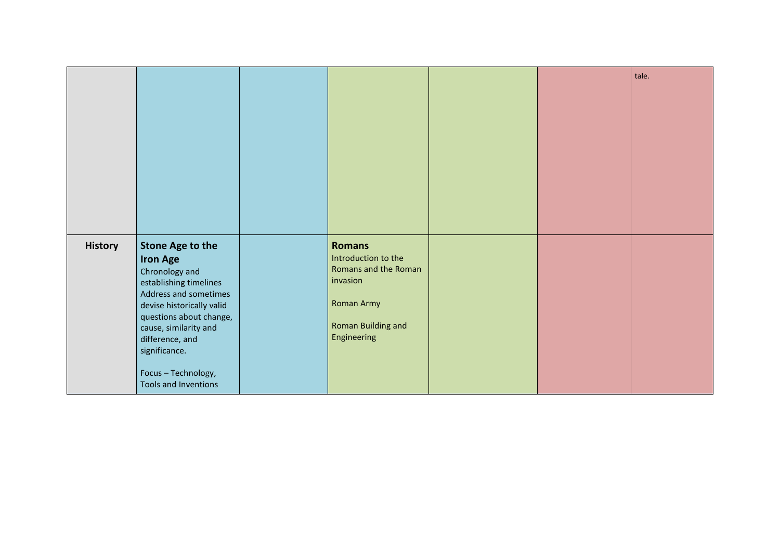|                |                                                                                                                                                                                                                                                                                     |                                                                                                                             |  | tale. |
|----------------|-------------------------------------------------------------------------------------------------------------------------------------------------------------------------------------------------------------------------------------------------------------------------------------|-----------------------------------------------------------------------------------------------------------------------------|--|-------|
|                |                                                                                                                                                                                                                                                                                     |                                                                                                                             |  |       |
| <b>History</b> | <b>Stone Age to the</b><br><b>Iron Age</b><br>Chronology and<br>establishing timelines<br>Address and sometimes<br>devise historically valid<br>questions about change,<br>cause, similarity and<br>difference, and<br>significance.<br>Focus - Technology,<br>Tools and Inventions | <b>Romans</b><br>Introduction to the<br>Romans and the Roman<br>invasion<br>Roman Army<br>Roman Building and<br>Engineering |  |       |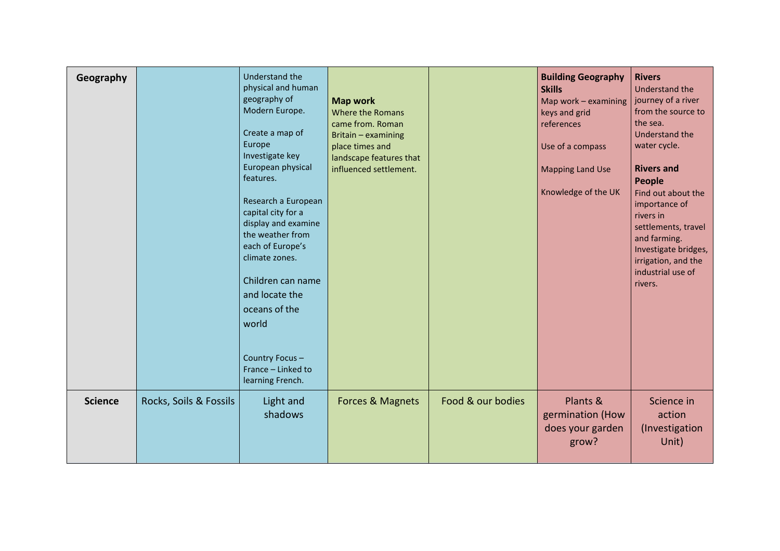| Geography      |                        | Understand the<br>physical and human<br>geography of<br>Modern Europe.<br>Create a map of<br>Europe<br>Investigate key<br>European physical<br>features.<br>Research a European<br>capital city for a<br>display and examine<br>the weather from<br>each of Europe's<br>climate zones.<br>Children can name<br>and locate the<br>oceans of the<br>world<br>Country Focus-<br>France - Linked to<br>learning French. | <b>Map work</b><br>Where the Romans<br>came from. Roman<br>Britain - examining<br>place times and<br>landscape features that<br>influenced settlement. |                   | <b>Building Geography</b><br><b>Skills</b><br>Map work $-$ examining<br>keys and grid<br>references<br>Use of a compass<br><b>Mapping Land Use</b><br>Knowledge of the UK | <b>Rivers</b><br>Understand the<br>journey of a river<br>from the source to<br>the sea.<br>Understand the<br>water cycle.<br><b>Rivers and</b><br>People<br>Find out about the<br>importance of<br>rivers in<br>settlements, travel<br>and farming.<br>Investigate bridges,<br>irrigation, and the<br>industrial use of<br>rivers. |
|----------------|------------------------|---------------------------------------------------------------------------------------------------------------------------------------------------------------------------------------------------------------------------------------------------------------------------------------------------------------------------------------------------------------------------------------------------------------------|--------------------------------------------------------------------------------------------------------------------------------------------------------|-------------------|---------------------------------------------------------------------------------------------------------------------------------------------------------------------------|------------------------------------------------------------------------------------------------------------------------------------------------------------------------------------------------------------------------------------------------------------------------------------------------------------------------------------|
| <b>Science</b> | Rocks, Soils & Fossils | Light and<br>shadows                                                                                                                                                                                                                                                                                                                                                                                                | <b>Forces &amp; Magnets</b>                                                                                                                            | Food & our bodies | Plants &<br>germination (How<br>does your garden<br>grow?                                                                                                                 | Science in<br>action<br>(Investigation<br>Unit)                                                                                                                                                                                                                                                                                    |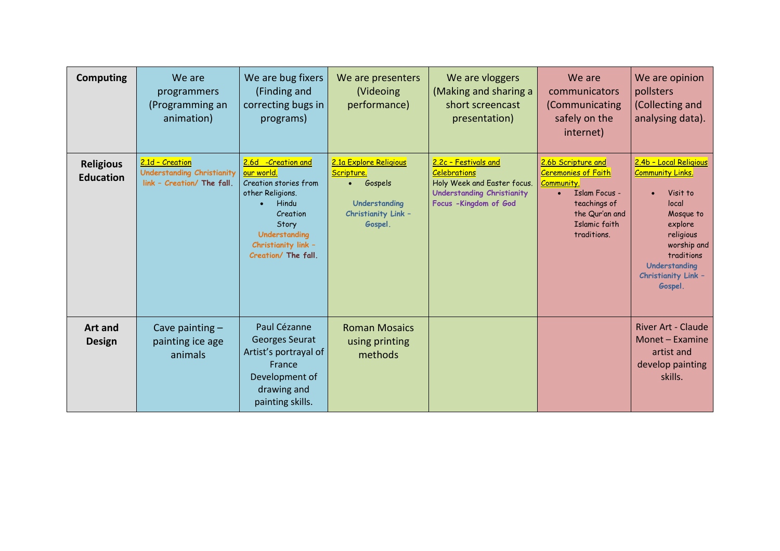| <b>Computing</b>                     | We are<br>programmers<br>(Programming an<br>animation)                      | We are bug fixers<br>(Finding and<br>correcting bugs in<br>programs)                                                                                                       | We are presenters<br>(Videoing<br>performance)                                                                                        | We are vloggers<br>(Making and sharing a<br>short screencast<br>presentation)                                                             | We are<br>communicators<br>(Communicating<br>safely on the<br>internet)                                                                                               | We are opinion<br>pollsters<br>(Collecting and<br>analysing data).                                                                                                                          |
|--------------------------------------|-----------------------------------------------------------------------------|----------------------------------------------------------------------------------------------------------------------------------------------------------------------------|---------------------------------------------------------------------------------------------------------------------------------------|-------------------------------------------------------------------------------------------------------------------------------------------|-----------------------------------------------------------------------------------------------------------------------------------------------------------------------|---------------------------------------------------------------------------------------------------------------------------------------------------------------------------------------------|
| <b>Religious</b><br><b>Education</b> | 2.1d - Creation<br>Understanding Christianity<br>link - Creation/ The fall. | 2.6d -Creation and<br>our world.<br>Creation stories from<br>other Religions.<br>Hindu<br>Creation<br>Story<br>Understanding<br>Christianity link -<br>Creation/ The fall. | 2.1a Explore Religious<br>Scripture.<br>Gospels<br>$\bullet$ .<br><br><br><br><br><br>Understanding<br>Christianity Link -<br>Gospel. | 2.2c - Festivals and<br><b>Celebrations</b><br>Holy Week and Easter focus.<br><b>Understanding Christianity</b><br>Focus - Kingdom of God | 2.6b Scripture and<br><b>Ceremonies of Faith</b><br>Community.<br><b>Islam Focus -</b><br>$\bullet$<br>teachings of<br>the Qur'an and<br>Islamic faith<br>traditions. | 2.4b - Local Religious<br><u>Community Links.</u><br>Visit to<br>local<br>Mosque to<br>explore<br>religious<br>worship and<br>traditions<br>Understanding<br>Christianity Link -<br>Gospel. |
| <b>Art and</b><br><b>Design</b>      | Cave painting $-$<br>painting ice age<br>animals                            | Paul Cézanne<br><b>Georges Seurat</b><br>Artist's portrayal of<br>France<br>Development of<br>drawing and<br>painting skills.                                              | <b>Roman Mosaics</b><br>using printing<br>methods                                                                                     |                                                                                                                                           |                                                                                                                                                                       | <b>River Art - Claude</b><br>Monet - Examine<br>artist and<br>develop painting<br>skills.                                                                                                   |